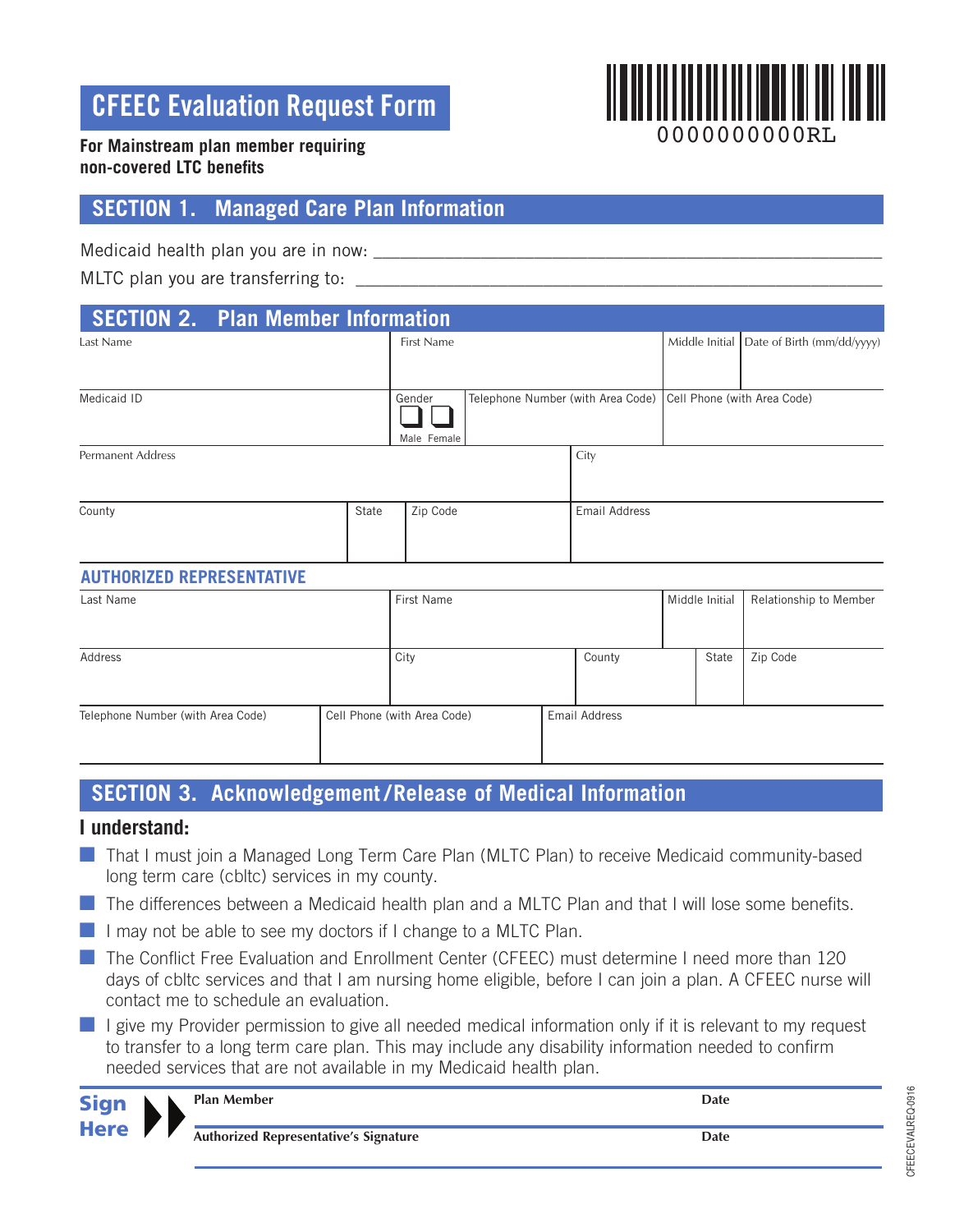## **CFEEC Evaluation Request Form**



#### **For Mainstream plan member requiring non-covered LTC benefits**

### **SECTION 1. Managed Care Plan Information**

Medicaid health plan you are in now:

MLTC plan you are transferring to: \_\_\_\_\_\_\_\_\_\_\_\_\_\_\_\_\_\_\_\_\_\_\_\_\_\_\_\_\_\_\_\_\_\_\_\_\_\_\_\_\_\_\_\_\_\_\_\_\_\_\_\_\_\_\_\_\_\_\_

| <b>SECTION 2. Plan Member Information</b> |       |                       |                                                               |               |                                             |
|-------------------------------------------|-------|-----------------------|---------------------------------------------------------------|---------------|---------------------------------------------|
| Last Name                                 |       | <b>First Name</b>     |                                                               |               | Middle Initial   Date of Birth (mm/dd/yyyy) |
|                                           |       |                       |                                                               |               |                                             |
| Medicaid ID                               |       | Gender<br>Male Female | Telephone Number (with Area Code) Cell Phone (with Area Code) |               |                                             |
| <b>Permanent Address</b>                  |       |                       |                                                               | City          |                                             |
| County                                    | State | Zip Code              |                                                               | Email Address |                                             |
| <b>AUTHORIZED REPRESENTATIVE</b>          |       |                       |                                                               |               |                                             |

# Last Name **First Name** First Name **Middle Initial Relationship to Member** Number 1, 1990 **Contract Accord Point Contract Accord Point Accord Point Accord Point Accord Point Accord Point Accord Point Accord Point Accord Poi** Address and City City County County State Zip Code Telephone Number (with Area Code) Cell Phone (with Area Code) Email Address

## **SECTION 3. Acknowledgement / Release of Medical Information**

#### **I understand:**

- **n** That I must join a Managed Long Term Care Plan (MLTC Plan) to receive Medicaid community-based long term care (cbltc) services in my county.
- The differences between a Medicaid health plan and a MLTC Plan and that I will lose some benefits.
- $\blacksquare$  I may not be able to see my doctors if I change to a MLTC Plan.
- The Conflict Free Evaluation and Enrollment Center (CFEEC) must determine I need more than 120 days of cbltc services and that I am nursing home eligible, before I can join a plan. A CFEEC nurse will contact me to schedule an evaluation.
- $\blacksquare$  I give my Provider permission to give all needed medical information only if it is relevant to my request to transfer to a long term care plan. This may include any disability information needed to confirm needed services that are not available in my Medicaid health plan.

| <b>Sign</b><br><b>Here</b> |  |  | <b>Plan Member</b>                           | <b>Date</b> |
|----------------------------|--|--|----------------------------------------------|-------------|
|                            |  |  | <b>Authorized Representative's Signature</b> | <b>Date</b> |